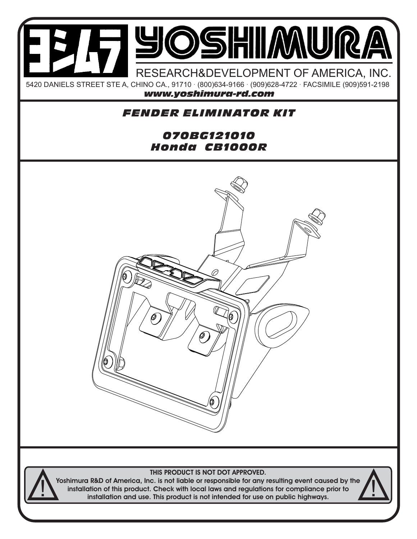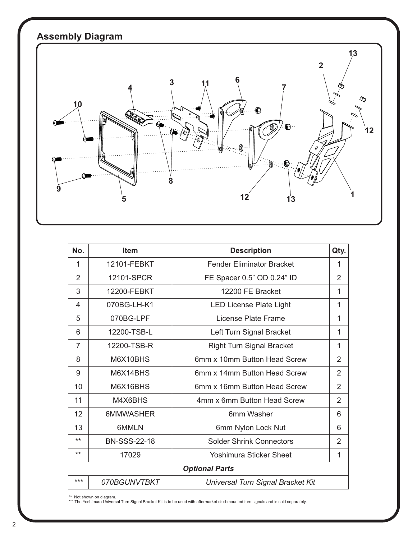

| No.                   | <b>Item</b>         | <b>Description</b>                | Qty.           |
|-----------------------|---------------------|-----------------------------------|----------------|
| 1                     | 12101-FEBKT         | <b>Fender Eliminator Bracket</b>  | 1              |
| $\overline{2}$        | 12101-SPCR          | FE Spacer 0.5" OD 0.24" ID        | 2              |
| 3                     | 12200-FEBKT         | 12200 FE Bracket                  | 1              |
| 4                     | 070BG-LH-K1         | <b>LED License Plate Light</b>    | 1              |
| 5                     | 070BG-LPF           | License Plate Frame               | 1              |
| 6                     | 12200-TSB-L         | Left Turn Signal Bracket          | 1              |
| $\overline{7}$        | 12200-TSB-R         | <b>Right Turn Signal Bracket</b>  | 1              |
| 8                     | M6X10BHS            | 6mm x 10mm Button Head Screw      | $\overline{2}$ |
| 9                     | M6X14BHS            | 6mm x 14mm Button Head Screw      | 2              |
| 10                    | M6X16BHS            | 6mm x 16mm Button Head Screw      | $\overline{2}$ |
| 11                    | M4X6BHS             | 4mm x 6mm Button Head Screw       | $\overline{2}$ |
| 12                    | 6MMWASHER           | 6mm Washer                        | 6              |
| 13                    | 6MMLN               | 6mm Nylon Lock Nut                | 6              |
| $***$                 | <b>BN-SSS-22-18</b> | <b>Solder Shrink Connectors</b>   | 2              |
| $***$                 | 17029               | Yoshimura Sticker Sheet           | 1              |
| <b>Optional Parts</b> |                     |                                   |                |
| ***                   | 070BGUNVTBKT        | Universal Turn Signal Bracket Kit |                |

\*\* Not shown on diagram. \*\*\* The Yoshimura Universal Turn Signal Bracket Kit is to be used with aftermarket stud-mounted turn signals and is sold separately.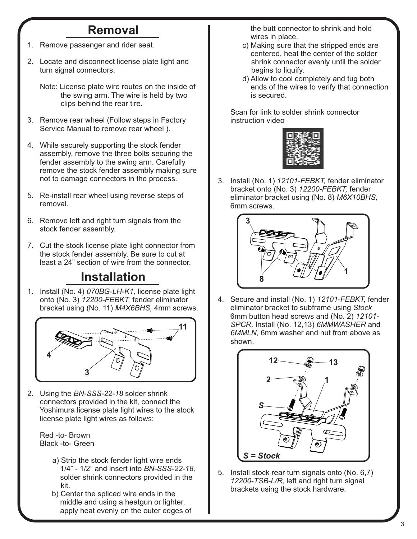## **Removal**

- 1. Remove passenger and rider seat.
- 2. Locate and disconnect license plate light and turn signal connectors.

 Note: License plate wire routes on the inside of the swing arm. The wire is held by two clips behind the rear tire.

- 3. Remove rear wheel (Follow steps in Factory Service Manual to remove rear wheel ).
- 4. While securely supporting the stock fender assembly, remove the three bolts securing the fender assembly to the swing arm. Carefully remove the stock fender assembly making sure not to damage connectors in the process.
- 5. Re-install rear wheel using reverse steps of removal.
- 6. Remove left and right turn signals from the stock fender assembly.
- 7. Cut the stock license plate light connector from the stock fender assembly. Be sure to cut at least a 24" section of wire from the connector.

## **Installation**

1. Install (No. 4) *070BG-LH-K1,* license plate light onto (No. 3) *12200-FEBKT,* fender eliminator bracket using (No. 11) *M4X6BHS,* 4mm screws.



2. Using the *BN-SSS-22-18* solder shrink connectors provided in the kit, connect the Yoshimura license plate light wires to the stock license plate light wires as follows:

 Red -to- Brown Black -to- Green

- a) Strip the stock fender light wire ends 1/4" - 1/2" and insert into *BN-SSS-22-18,* solder shrink connectors provided in the kit.
- b) Center the spliced wire ends in the middle and using a heatgun or lighter, apply heat evenly on the outer edges of

 the butt connector to shrink and hold wires in place.

- c) Making sure that the stripped ends are centered, heat the center of the solder shrink connector evenly until the solder begins to liquify.
- d) Allow to cool completely and tug both ends of the wires to verify that connection is secured.

 Scan for link to solder shrink connector instruction video



3. Install (No. 1) *12101-FEBKT,* fender eliminator bracket onto (No. 3) *12200-FEBKT,* fender eliminator bracket using (No. 8) *M6X10BHS,* 6mm screws.



4. Secure and install (No. 1) *12101-FEBKT,* fender eliminator bracket to subframe using *Stock* 6mm button head screws and (No. 2) *12101- SPCR*. Install (No. 12,13) *6MMWASHER* and  *6MMLN,* 6mm washer and nut from above as shown.



5. Install stock rear turn signals onto (No. 6,7) *12200-TSB-L/R,* left and right turn signal brackets using the stock hardware.